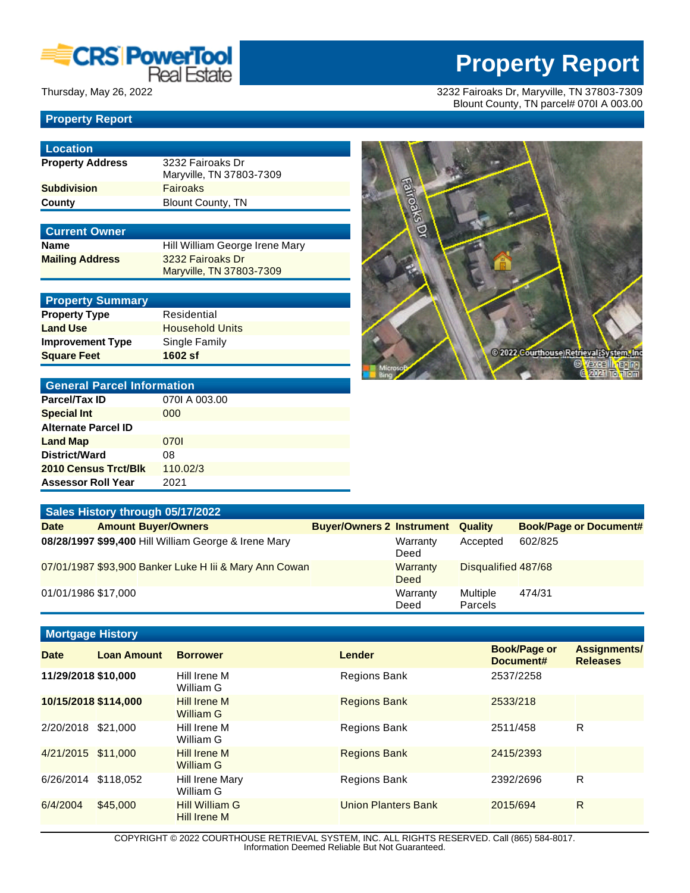

## **Property Report**

| <b>Location</b>         |                                              |
|-------------------------|----------------------------------------------|
| <b>Property Address</b> | 3232 Fairoaks Dr<br>Maryville, TN 37803-7309 |
| <b>Subdivision</b>      | Fairoaks                                     |
| County                  | <b>Blount County, TN</b>                     |
|                         |                                              |

| <b>Current Owner</b>   |                                              |
|------------------------|----------------------------------------------|
| <b>Name</b>            | Hill William George Irene Mary               |
| <b>Mailing Address</b> | 3232 Fairoaks Dr<br>Maryville, TN 37803-7309 |

### **Property Summary Property Type** Residential **Land Use Household Units Improvement Type** Single Family **Square Feet 1602 sf**

| Fairoaks Dr       |                                                                                        |
|-------------------|----------------------------------------------------------------------------------------|
|                   |                                                                                        |
|                   |                                                                                        |
| Microsoft<br>Bing | O 2022 Courthouse Retrieval & vistem the<br>O Vexcel Integiment<br>Double 2021 Tomment |

| <b>General Parcel Information</b> |               |  |  |  |  |  |  |
|-----------------------------------|---------------|--|--|--|--|--|--|
| Parcel/Tax ID                     | 0701 A 003.00 |  |  |  |  |  |  |
| <b>Special Int</b><br>000         |               |  |  |  |  |  |  |
| <b>Alternate Parcel ID</b>        |               |  |  |  |  |  |  |
| <b>Land Map</b>                   | 0701          |  |  |  |  |  |  |
| District/Ward                     | 08            |  |  |  |  |  |  |
| 2010 Census Trct/Blk              | 110.02/3      |  |  |  |  |  |  |
| <b>Assessor Roll Year</b>         | 2021          |  |  |  |  |  |  |

|                     | Sales History through 05/17/2022                       |                                  |                      |                               |  |
|---------------------|--------------------------------------------------------|----------------------------------|----------------------|-------------------------------|--|
| <b>Date</b>         | <b>Amount Buyer/Owners</b>                             | <b>Buyer/Owners 2 Instrument</b> | <b>Quality</b>       | <b>Book/Page or Document#</b> |  |
|                     | 08/28/1997 \$99,400 Hill William George & Irene Mary   | Deed                             | Warranty<br>Accepted | 602/825                       |  |
|                     | 07/01/1987 \$93,900 Banker Luke H Iii & Mary Ann Cowan | <b>Deed</b>                      | <b>Warranty</b>      | Disqualified 487/68           |  |
| 01/01/1986 \$17,000 |                                                        | Warranty<br>Deed                 | Multiple<br>Parcels  | 474/31                        |  |

| <b>Mortgage History</b> |                    |                                              |                            |                                  |                                        |  |  |  |
|-------------------------|--------------------|----------------------------------------------|----------------------------|----------------------------------|----------------------------------------|--|--|--|
| <b>Date</b>             | <b>Loan Amount</b> | <b>Borrower</b>                              | <b>Lender</b>              | <b>Book/Page or</b><br>Document# | <b>Assignments/</b><br><b>Releases</b> |  |  |  |
| 11/29/2018 \$10,000     |                    | Hill Irene M<br>William G                    | <b>Regions Bank</b>        | 2537/2258                        |                                        |  |  |  |
| 10/15/2018 \$114,000    |                    | <b>Hill Irene M</b><br><b>William G</b>      | <b>Regions Bank</b>        | 2533/218                         |                                        |  |  |  |
| 2/20/2018               | \$21,000           | Hill Irene M<br>William G                    | <b>Regions Bank</b>        | 2511/458                         | R                                      |  |  |  |
| 4/21/2015 \$11,000      |                    | <b>Hill Irene M</b><br><b>William G</b>      | <b>Regions Bank</b>        | 2415/2393                        |                                        |  |  |  |
| 6/26/2014               | \$118,052          | Hill Irene Mary<br>William G                 | <b>Regions Bank</b>        | 2392/2696                        | R                                      |  |  |  |
| 6/4/2004                | \$45,000           | <b>Hill William G</b><br><b>Hill Irene M</b> | <b>Union Planters Bank</b> | 2015/694                         | R                                      |  |  |  |

COPYRIGHT © 2022 COURTHOUSE RETRIEVAL SYSTEM, INC. ALL RIGHTS RESERVED. Call (865) 584-8017. Information Deemed Reliable But Not Guaranteed.

# **Property Report**

Thursday, May 26, 2022 3232 Fairoaks Dr, Maryville, TN 37803-7309 Blount County, TN parcel# 070I A 003.00